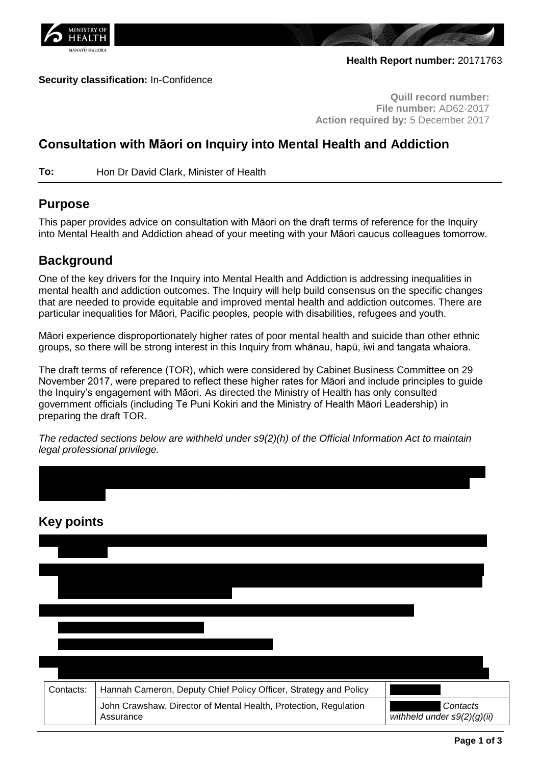

### **Security classification:** In-Confidence

**Quill record number: File number:** AD62-2017 **Action required by:** 5 December 2017

# **Consultation with Māori on Inquiry into Mental Health and Addiction**

**To:** Hon Dr David Clark, Minister of Health

## **Purpose**

This paper provides advice on consultation with Māori on the draft terms of reference for the Inquiry into Mental Health and Addiction ahead of your meeting with your Māori caucus colleagues tomorrow.

## **Background**

One of the key drivers for the Inquiry into Mental Health and Addiction is addressing inequalities in mental health and addiction outcomes. The Inquiry will help build consensus on the specific changes that are needed to provide equitable and improved mental health and addiction outcomes. There are particular inequalities for Māori, Pacific peoples, people with disabilities, refugees and youth.

Māori experience disproportionately higher rates of poor mental health and suicide than other ethnic groups, so there will be strong interest in this Inquiry from whānau, hapū, iwi and tangata whaiora.

The draft terms of reference (TOR), which were considered by Cabinet Business Committee on 29 November 2017, were prepared to reflect these higher rates for Māori and include principles to guide the Inquiry's engagement with Māori. As directed the Ministry of Health has only consulted government officials (including Te Puni Kokiri and the Ministry of Health Māori Leadership) in preparing the draft TOR.

*The redacted sections below are withheld under s9(2)(h) of the Official Information Act to maintain legal professional privilege.*

| <b>Key points</b> |                                                                               |                                         |
|-------------------|-------------------------------------------------------------------------------|-----------------------------------------|
|                   |                                                                               |                                         |
|                   |                                                                               |                                         |
|                   |                                                                               |                                         |
|                   |                                                                               |                                         |
|                   |                                                                               |                                         |
| Contacts:         | Hannah Cameron, Deputy Chief Policy Officer, Strategy and Policy              |                                         |
|                   | John Crawshaw, Director of Mental Health, Protection, Regulation<br>Assurance | Contacts<br>withheld under s9(2)(g)(ii) |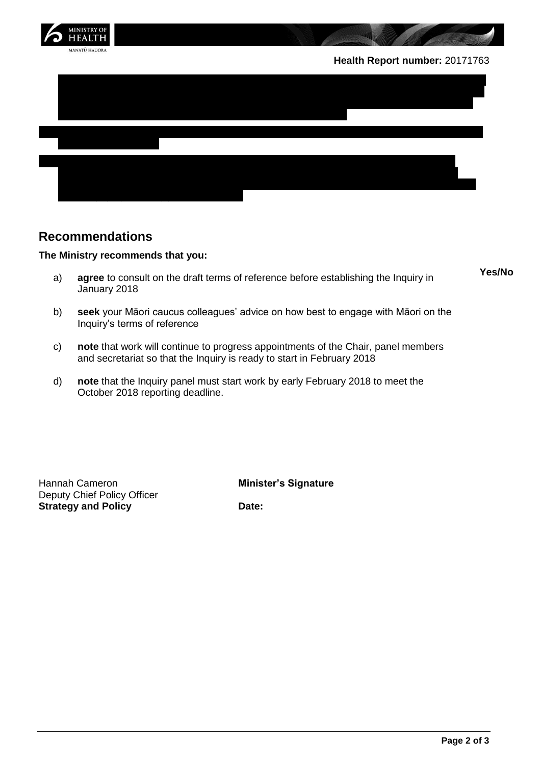

## **Recommendations**

### **The Ministry recommends that you:**

- a) **agree** to consult on the draft terms of reference before establishing the Inquiry in January 2018
- b) **seek** your Māori caucus colleagues' advice on how best to engage with Māori on the Inquiry's terms of reference
- c) **note** that work will continue to progress appointments of the Chair, panel members and secretariat so that the Inquiry is ready to start in February 2018
- d) **note** that the Inquiry panel must start work by early February 2018 to meet the October 2018 reporting deadline.

Hannah Cameron **Minister's Signature** Deputy Chief Policy Officer **Strategy and Policy Date:** 

**Yes/No**